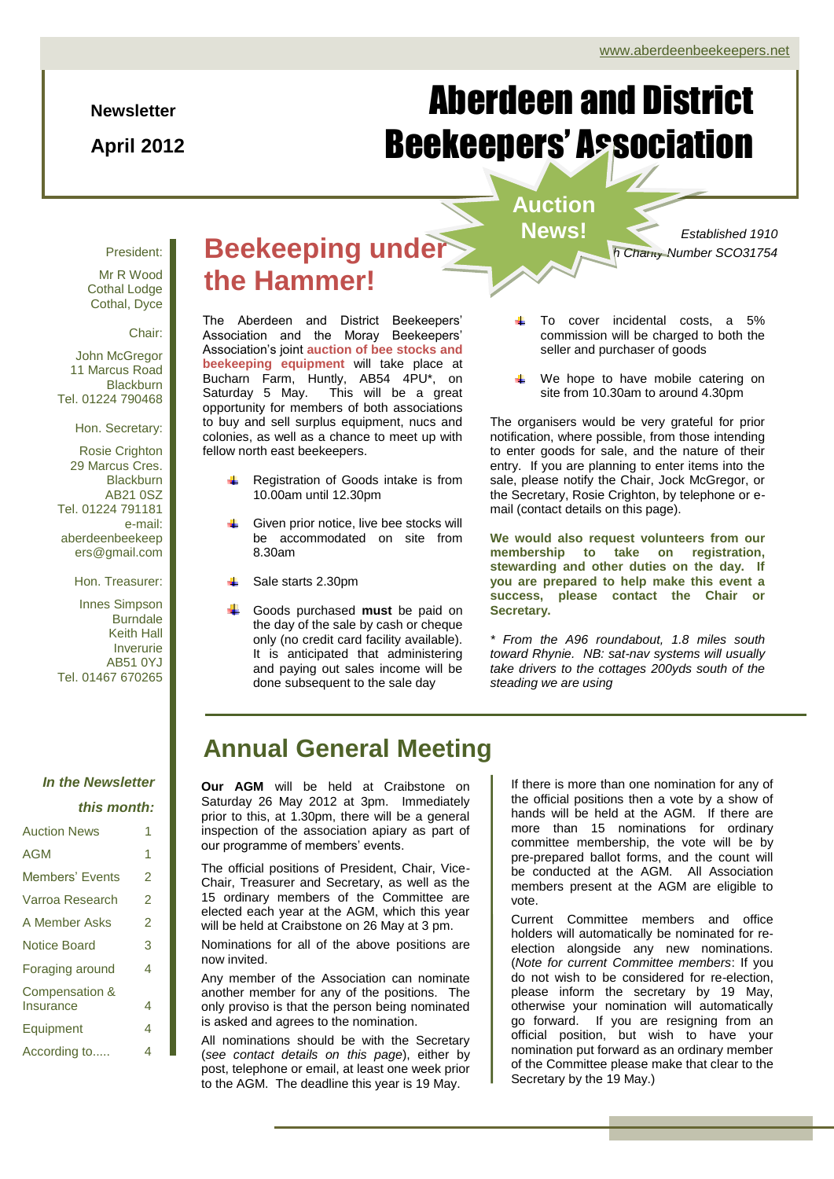### **Newsletter**

**April 2012**

# Aberdeen and District Beekeepers' Association

# **Auction**

*Established 1910 Scottish Charity Number SCO31754*

# President:

Mr R Wood Cothal Lodge Cothal, Dyce

Chair:

John McGregor 11 Marcus Road **Blackburn** Tel. 01224 790468

Hon. Secretary:

Rosie Crighton 29 Marcus Cres. **Blackburn** AB21 0SZ Tel. 01224 791181 e-mail: aberdeenbeekeep ers@gmail.com

Hon. Treasurer:

Innes Simpson Burndale Keith Hall Inverurie AB51 0YJ Tel. 01467 670265

*In the Newsletter* 

### *this month:*

| <b>Auction News</b> | 1 |
|---------------------|---|
| <b>AGM</b>          | 1 |
| Members' Events     | 2 |
| Varroa Research     | 2 |
| A Member Asks       | 2 |
| <b>Notice Board</b> | 3 |
| Foraging around     | 4 |
| Compensation &      |   |
| Insurance           | 4 |
| Equipment           | 4 |
| According to        | 4 |

# **Beekeeping under > News! the Hammer!**

The Aberdeen and District Beekeepers' Association and the Moray Beekeepers' Association's joint **auction of bee stocks and beekeeping equipment** will take place at Bucharn Farm, Huntly, AB54 4PU\*, on Saturday 5 May. This will be a great opportunity for members of both associations to buy and sell surplus equipment, nucs and colonies, as well as a chance to meet up with fellow north east beekeepers.

- Registration of Goods intake is from 10.00am until 12.30pm
- Given prior notice, live bee stocks will be accommodated on site from 8.30am
- Sale starts 2.30pm
- Goods purchased **must** be paid on the day of the sale by cash or cheque only (no credit card facility available). It is anticipated that administering and paying out sales income will be done subsequent to the sale day
- To cover incidental costs, a 5% commission will be charged to both the seller and purchaser of goods
- We hope to have mobile catering on site from 10.30am to around 4.30pm

The organisers would be very grateful for prior notification, where possible, from those intending to enter goods for sale, and the nature of their entry. If you are planning to enter items into the sale, please notify the Chair, Jock McGregor, or the Secretary, Rosie Crighton, by telephone or email (contact details on this page).

**We would also request volunteers from our membership to take on registration, stewarding and other duties on the day. If you are prepared to help make this event a success, please contact the Chair or Secretary.**

*\* From the A96 roundabout, 1.8 miles south toward Rhynie. NB: sat-nav systems will usually take drivers to the cottages 200yds south of the steading we are using*

# **Annual General Meeting**

**Our AGM** will be held at Craibstone on Saturday 26 May 2012 at 3pm. Immediately prior to this, at 1.30pm, there will be a general inspection of the association apiary as part of our programme of members' events.

The official positions of President, Chair, Vice-Chair, Treasurer and Secretary, as well as the 15 ordinary members of the Committee are elected each year at the AGM, which this year will be held at Craibstone on 26 May at 3 pm.

Nominations for all of the above positions are now invited.

Any member of the Association can nominate another member for any of the positions. The only proviso is that the person being nominated is asked and agrees to the nomination.

All nominations should be with the Secretary (*see contact details on this page*), either by post, telephone or email, at least one week prior to the AGM. The deadline this year is 19 May.

If there is more than one nomination for any of the official positions then a vote by a show of hands will be held at the AGM. If there are more than 15 nominations for ordinary committee membership, the vote will be by pre-prepared ballot forms, and the count will be conducted at the AGM. All Association members present at the AGM are eligible to vote.

go forward. If you are resigning from an Current Committee members and office holders will automatically be nominated for reelection alongside any new nominations. (*Note for current Committee members*: If you do not wish to be considered for re-election, please inform the secretary by 19 May, otherwise your nomination will automatically official position, but wish to have your nomination put forward as an ordinary member of the Committee please make that clear to the Secretary by the 19 May.)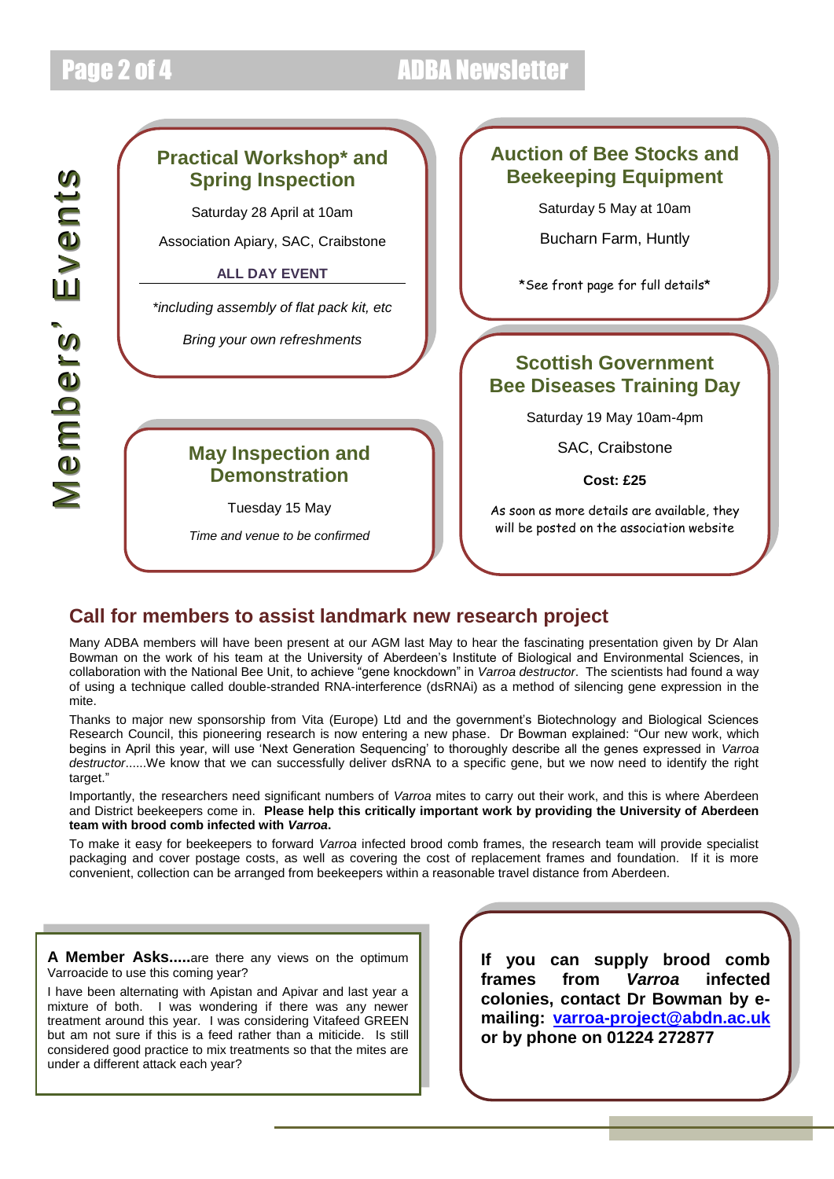# Page 2 of 4 ADBA Newsletter

## **Practical Workshop\* and Spring Inspection**

Saturday 28 April at 10am

Association Apiary, SAC, Craibstone

### **ALL DAY EVENT**

*\*including assembly of flat pack kit, etc*

*Bring your own refreshments*

## **May Inspection and Demonstration**

Tuesday 15 May

*Time and venue to be confirmed*

## **Auction of Bee Stocks and Beekeeping Equipment**

Saturday 5 May at 10am

Bucharn Farm, Huntly

\*See front page for full details\*

## **Scottish Government Bee Diseases Training Day**

Saturday 19 May 10am-4pm

SAC, Craibstone

**Cost: £25**

As soon as more details are available, they will be posted on the association website

## **Call for members to assist landmark new research project**

Many ADBA members will have been present at our AGM last May to hear the fascinating presentation given by Dr Alan Bowman on the work of his team at the University of Aberdeen's Institute of Biological and Environmental Sciences, in collaboration with the National Bee Unit, to achieve "gene knockdown" in *Varroa destructor*. The scientists had found a way of using a technique called double-stranded RNA-interference (dsRNAi) as a method of silencing gene expression in the mite.

Thanks to major new sponsorship from Vita (Europe) Ltd and the government's Biotechnology and Biological Sciences Research Council, this pioneering research is now entering a new phase. Dr Bowman explained: "Our new work, which begins in April this year, will use 'Next Generation Sequencing' to thoroughly describe all the genes expressed in *Varroa destructor*......We know that we can successfully deliver dsRNA to a specific gene, but we now need to identify the right target."

Importantly, the researchers need significant numbers of *Varroa* mites to carry out their work, and this is where Aberdeen and District beekeepers come in. **Please help this critically important work by providing the University of Aberdeen team with brood comb infected with** *Varroa***.**

To make it easy for beekeepers to forward *Varroa* infected brood comb frames, the research team will provide specialist packaging and cover postage costs, as well as covering the cost of replacement frames and foundation. If it is more convenient, collection can be arranged from beekeepers within a reasonable travel distance from Aberdeen.

**A Member Asks.....**are there any views on the optimum Varroacide to use this coming year?

I have been alternating with Apistan and Apivar and last year a mixture of both. I was wondering if there was any newer treatment around this year. I was considering Vitafeed GREEN but am not sure if this is a feed rather than a miticide. Is still considered good practice to mix treatments so that the mites are under a different attack each year?

**If you can supply brood comb frames from** *Varroa* **infected colonies, contact Dr Bowman by emailing: [varroa-project@abdn.ac.uk](mailto:varroa-project@abdn.ac.uk) or by phone on 01224 272877**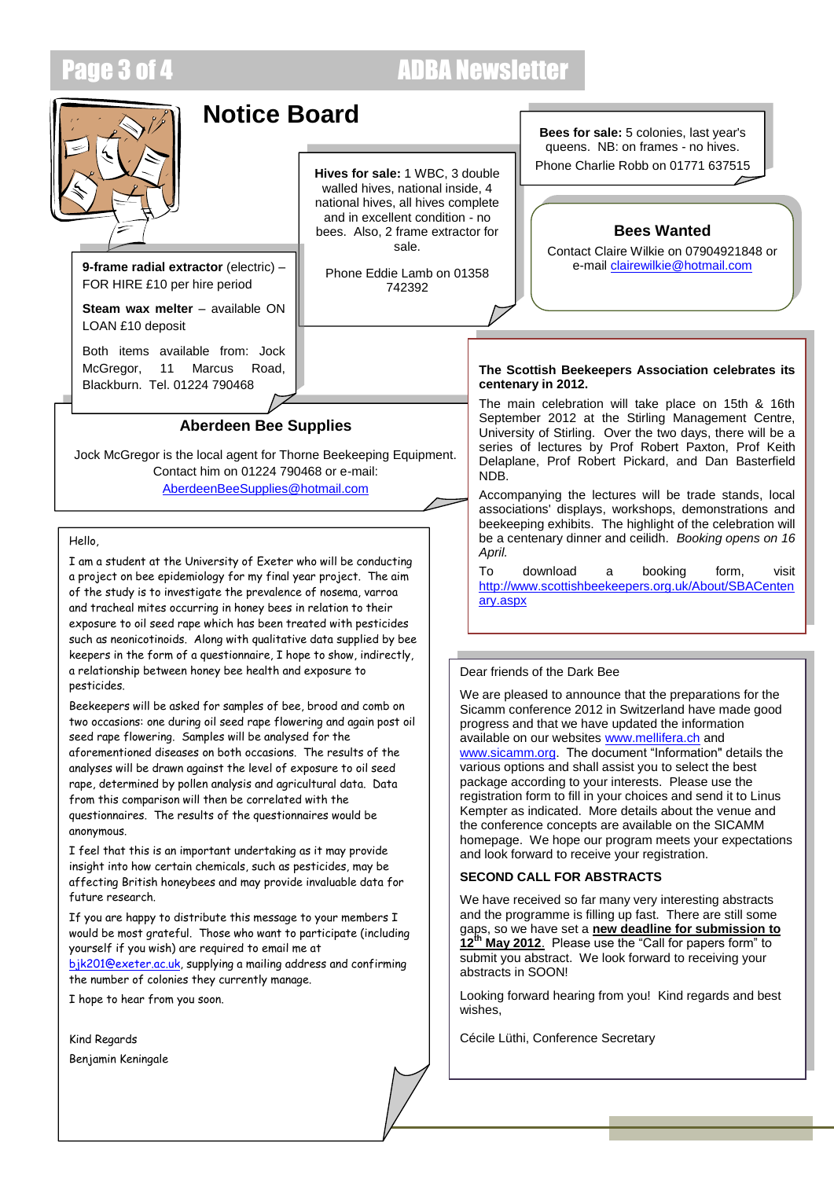# Page 3 of 4 ADBA Newsletter



# **Notice Board**

**Hives for sale:** 1 WBC, 3 double walled hives, national inside, 4 national hives, all hives complete and in excellent condition - no bees. Also, 2 frame extractor for sale.

Phone Eddie Lamb on 01358 742392

**Bees for sale:** 5 colonies, last year's queens. NB: on frames - no hives.

Phone Charlie Robb on 01771 637515

### **Bees Wanted**

Contact Claire Wilkie on 07904921848 or<br>e-mail clairewilkie@hotmail.com

**Steam wax melter** – available ON LOAN £10 deposit

**9-frame radial extractor** (electric) -FOR HIRE £10 per hire period

Both items available from: Jock McGregor, 11 Marcus Road, Blackburn. Tel. 01224 790468

### **Aberdeen Bee Supplies**

Jock McGregor is the local agent for Thorne Beekeeping Equipment. Contact him on 01224 790468 or e-mail: [AberdeenBeeSupplies@hotmail.com](mailto:AberdeenBeeSupplies@hotmail.com)

Hello,

I am a student at the University of Exeter who will be conducting a project on bee epidemiology for my final year project. The aim of the study is to investigate the prevalence of nosema, varroa and tracheal mites occurring in honey bees in relation to their exposure to oil seed rape which has been treated with pesticides such as neonicotinoids. Along with qualitative data supplied by bee keepers in the form of a questionnaire, I hope to show, indirectly, a relationship between honey bee health and exposure to pesticides.

Beekeepers will be asked for samples of bee, brood and comb on two occasions: one during oil seed rape flowering and again post oil seed rape flowering. Samples will be analysed for the aforementioned diseases on both occasions. The results of the analyses will be drawn against the level of exposure to oil seed rape, determined by pollen analysis and agricultural data. Data from this comparison will then be correlated with the questionnaires. The results of the questionnaires would be anonymous.

I feel that this is an important undertaking as it may provide insight into how certain chemicals, such as pesticides, may be affecting British honeybees and may provide invaluable data for future research.

If you are happy to distribute this message to your members I would be most grateful. Those who want to participate (including yourself if you wish) are required to email me at [bjk201@exeter.ac.uk,](mailto:bjk201@exeter.ac.uk) supplying a mailing address and confirming

the number of colonies they currently manage. I hope to hear from you soon.

Kind Regards Benjamin Keningale

### **The Scottish Beekeepers Association celebrates its centenary in 2012.**

The main celebration will take place on 15th & 16th September 2012 at the Stirling Management Centre, University of Stirling. Over the two days, there will be a series of lectures by Prof Robert Paxton, Prof Keith Delaplane, Prof Robert Pickard, and Dan Basterfield NDB.

Accompanying the lectures will be trade stands, local associations' displays, workshops, demonstrations and beekeeping exhibits. The highlight of the celebration will be a centenary dinner and ceilidh. *Booking opens on 16 April.*

To download a booking form, visit [http://www.scottishbeekeepers.org.uk/About/SBACenten](http://www.scottishbeekeepers.org.uk/About/SBACentenary.aspx) [ary.aspx](http://www.scottishbeekeepers.org.uk/About/SBACentenary.aspx)

### Dear friends of the Dark Bee

We are pleased to announce that the preparations for the Sicamm conference 2012 in Switzerland have made good progress and that we have updated the information available on our websites [www.mellifera.ch](http://www.mellifera.ch/SICAMM_2012.php) and [www.sicamm.org.](http://www.sicamm.org/NextConf.html) The document "Information" details the various options and shall assist you to select the best package according to your interests. Please use the registration form to fill in your choices and send it to Linus Kempter as indicated. More details about the venue and the conference concepts are available on the SICAMM homepage. We hope our program meets your expectations and look forward to receive your registration.

### **SECOND CALL FOR ABSTRACTS**

We have received so far many very interesting abstracts and the programme is filling up fast. There are still some gaps, so we have set a **new deadline for submission to**  <sup>h</sup> May 2012. Please use the "Call for papers form" to submit you abstract. We look forward to receiving your abstracts in SOON!

Looking forward hearing from you! Kind regards and best wishes,

Cécile Lüthi, Conference Secretary